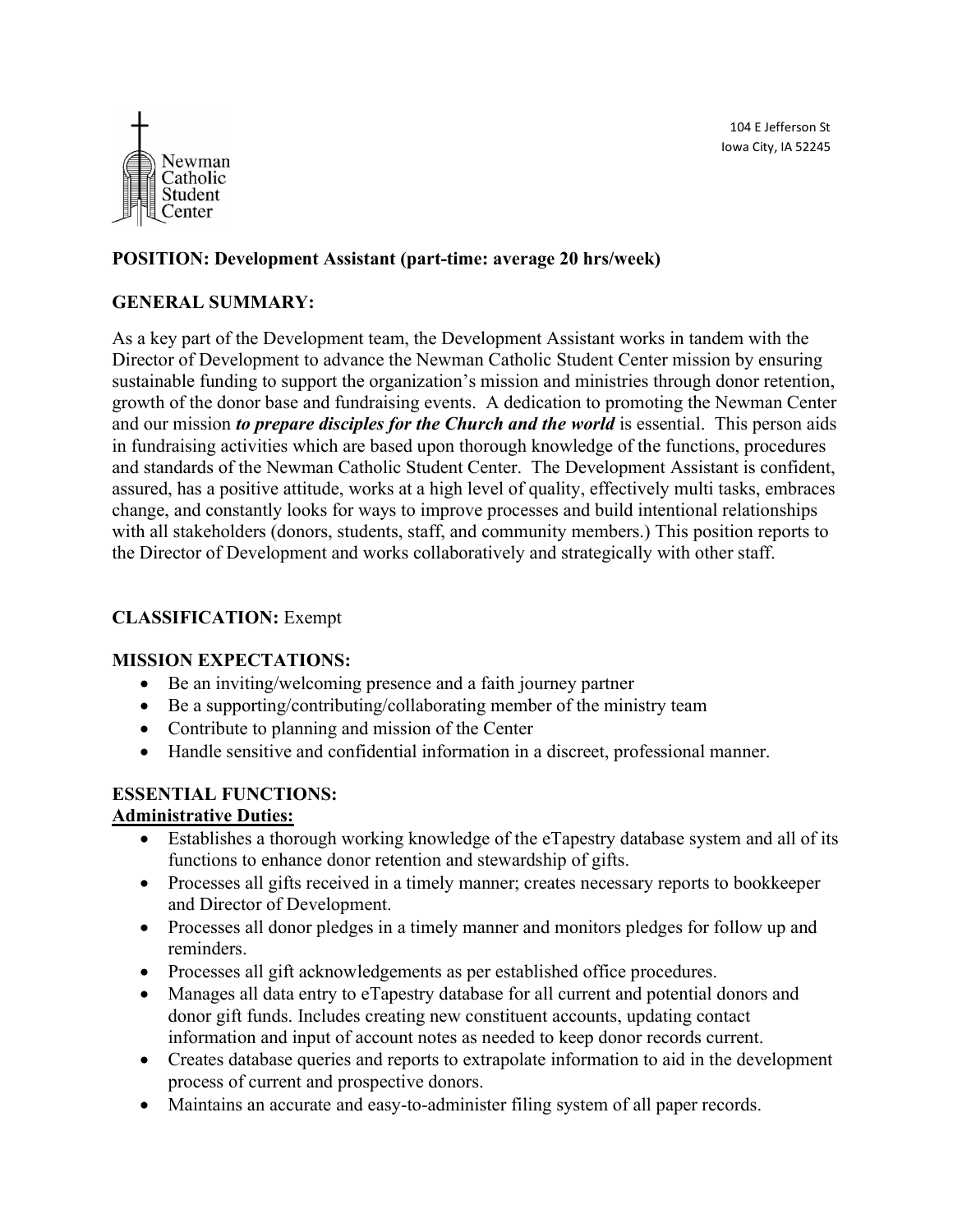104 E Jefferson St Iowa City, IA 52245



## POSITION: Development Assistant (part-time: average 20 hrs/week)

### GENERAL SUMMARY:

As a key part of the Development team, the Development Assistant works in tandem with the Director of Development to advance the Newman Catholic Student Center mission by ensuring sustainable funding to support the organization's mission and ministries through donor retention, growth of the donor base and fundraising events. A dedication to promoting the Newman Center and our mission to prepare disciples for the Church and the world is essential. This person aids in fundraising activities which are based upon thorough knowledge of the functions, procedures and standards of the Newman Catholic Student Center. The Development Assistant is confident, assured, has a positive attitude, works at a high level of quality, effectively multi tasks, embraces change, and constantly looks for ways to improve processes and build intentional relationships with all stakeholders (donors, students, staff, and community members.) This position reports to the Director of Development and works collaboratively and strategically with other staff.

### CLASSIFICATION: Exempt

#### MISSION EXPECTATIONS:

- Be an inviting/welcoming presence and a faith journey partner
- Be a supporting/contributing/collaborating member of the ministry team
- Contribute to planning and mission of the Center
- Handle sensitive and confidential information in a discreet, professional manner.

#### ESSENTIAL FUNCTIONS:

#### Administrative Duties:

- Establishes a thorough working knowledge of the eTapestry database system and all of its functions to enhance donor retention and stewardship of gifts.
- Processes all gifts received in a timely manner; creates necessary reports to bookkeeper and Director of Development.
- Processes all donor pledges in a timely manner and monitors pledges for follow up and reminders.
- Processes all gift acknowledgements as per established office procedures.
- Manages all data entry to eTapestry database for all current and potential donors and donor gift funds. Includes creating new constituent accounts, updating contact information and input of account notes as needed to keep donor records current.
- Creates database queries and reports to extrapolate information to aid in the development process of current and prospective donors.
- Maintains an accurate and easy-to-administer filing system of all paper records.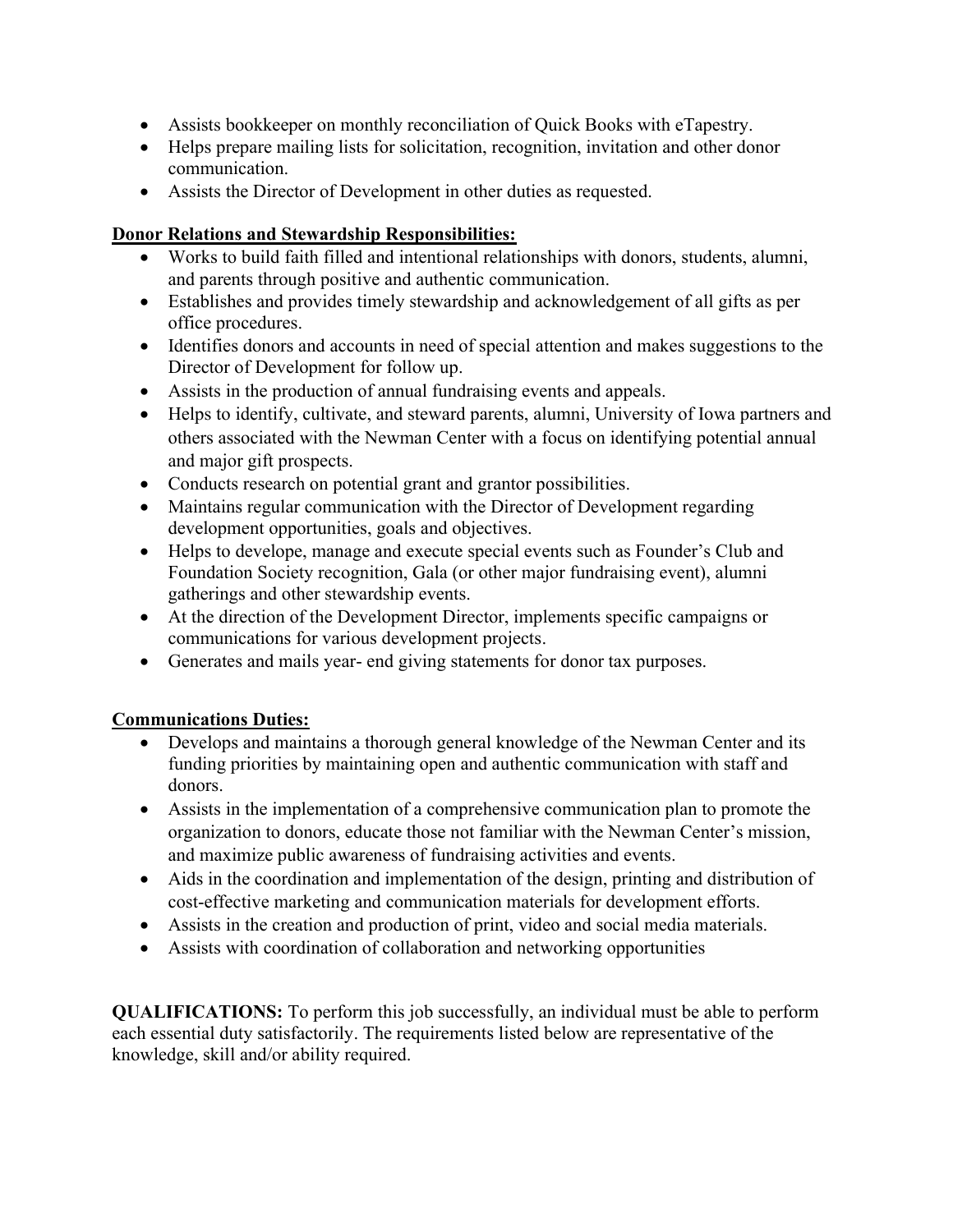- Assists bookkeeper on monthly reconciliation of Quick Books with eTapestry.
- Helps prepare mailing lists for solicitation, recognition, invitation and other donor communication.
- Assists the Director of Development in other duties as requested.

# Donor Relations and Stewardship Responsibilities:

- Works to build faith filled and intentional relationships with donors, students, alumni, and parents through positive and authentic communication.
- Establishes and provides timely stewardship and acknowledgement of all gifts as per office procedures.
- Identifies donors and accounts in need of special attention and makes suggestions to the Director of Development for follow up.
- Assists in the production of annual fundraising events and appeals.
- Helps to identify, cultivate, and steward parents, alumni, University of Iowa partners and others associated with the Newman Center with a focus on identifying potential annual and major gift prospects.
- Conducts research on potential grant and grantor possibilities.
- Maintains regular communication with the Director of Development regarding development opportunities, goals and objectives.
- Helps to develope, manage and execute special events such as Founder's Club and Foundation Society recognition, Gala (or other major fundraising event), alumni gatherings and other stewardship events.
- At the direction of the Development Director, implements specific campaigns or communications for various development projects.
- Generates and mails year- end giving statements for donor tax purposes.

# Communications Duties:

- Develops and maintains a thorough general knowledge of the Newman Center and its funding priorities by maintaining open and authentic communication with staff and donors.
- Assists in the implementation of a comprehensive communication plan to promote the organization to donors, educate those not familiar with the Newman Center's mission, and maximize public awareness of fundraising activities and events.
- Aids in the coordination and implementation of the design, printing and distribution of cost-effective marketing and communication materials for development efforts.
- Assists in the creation and production of print, video and social media materials.
- Assists with coordination of collaboration and networking opportunities

QUALIFICATIONS: To perform this job successfully, an individual must be able to perform each essential duty satisfactorily. The requirements listed below are representative of the knowledge, skill and/or ability required.